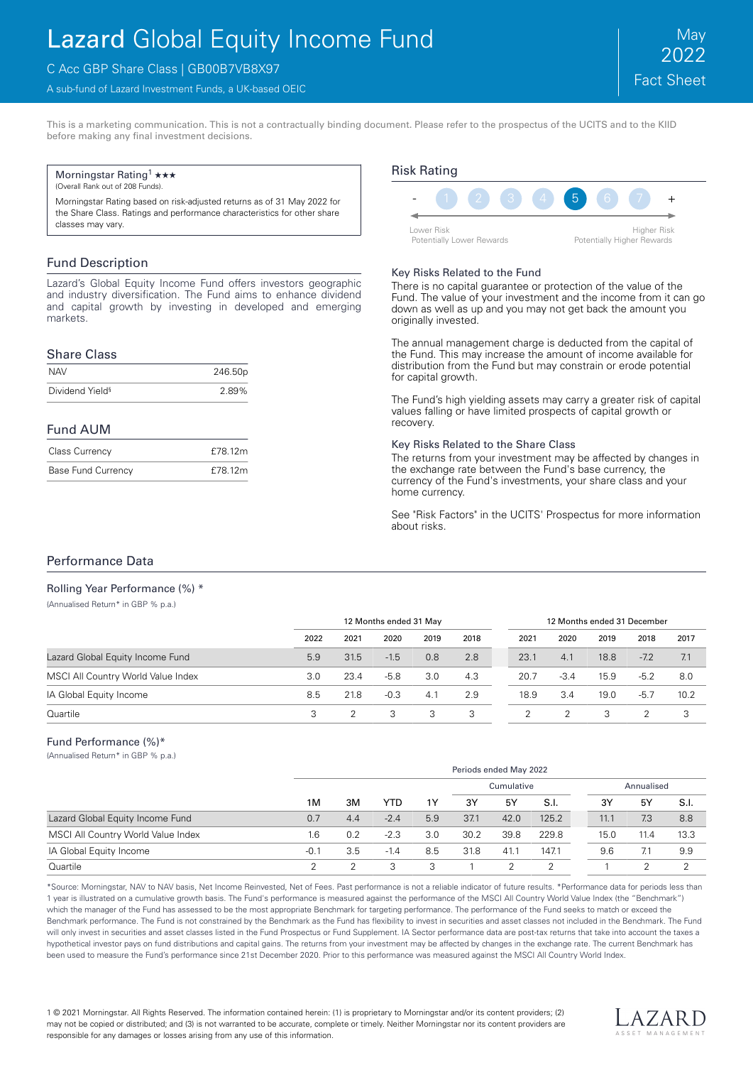# Lazard Global Equity Income Fund

# C Acc GBP Share Class | GB00B7VB8X97

A sub-fund of Lazard Investment Funds, a UK-based OEIC

This is a marketing communication. This is not a contractually binding document. Please refer to the prospectus of the UCITS and to the KIID before making any final investment decisions.

#### Morningstar Rating<sup>1</sup>  $\star\star\star$

(Overall Rank out of 208 Funds).

Morningstar Rating based on risk-adjusted returns as of 31 May 2022 for the Share Class. Ratings and performance characteristics for other share classes may vary.

## Fund Description

Lazard's Global Equity Income Fund offers investors geographic and industry diversification. The Fund aims to enhance dividend and capital growth by investing in developed and emerging markets.

### Share Class

| <b>NAV</b>                  | 246.50p |
|-----------------------------|---------|
| Dividend Yield <sup>§</sup> | 2.89%   |

### Fund AUM

| <b>Class Currency</b>     | £78.12m |
|---------------------------|---------|
| <b>Base Fund Currency</b> | £78.12m |



#### Key Risks Related to the Fund

There is no capital guarantee or protection of the value of the Fund. The value of your investment and the income from it can go down as well as up and you may not get back the amount you originally invested.

The annual management charge is deducted from the capital of the Fund. This may increase the amount of income available for distribution from the Fund but may constrain or erode potential for capital growth.

The Fund's high yielding assets may carry a greater risk of capital values falling or have limited prospects of capital growth or recovery.

#### Key Risks Related to the Share Class

The returns from your investment may be affected by changes in the exchange rate between the Fund's base currency, the currency of the Fund's investments, your share class and your home currency.

See "Risk Factors" in the UCITS' Prospectus for more information about risks.

## Performance Data

Rolling Year Performance (%) \* (Annualised Return\* in GBP % p.a.)

|                                    |      | 12 Months ended 31 May |        |      | 12 Months ended 31 December |      |        |      |        |      |
|------------------------------------|------|------------------------|--------|------|-----------------------------|------|--------|------|--------|------|
|                                    | 2022 | 2021                   | 2020   | 2019 | 2018                        | 2021 | 2020   | 2019 | 2018   | 2017 |
| Lazard Global Equity Income Fund   | 5.9  | 31.5                   | $-1.5$ | 0.8  | 2.8                         | 23.1 | 4.1    | 18.8 | $-7.2$ | 7.1  |
| MSCI All Country World Value Index | 3.0  | 23.4                   | $-5.8$ | 3.0  | 4.3                         | 20.7 | $-3.4$ | 15.9 | $-5.2$ | 8.0  |
| IA Global Equity Income            | 8.5  | 21.8                   | $-0.3$ | 4.1  | 2.9                         | 18.9 | 3.4    | 19.0 | $-5.7$ | 10.2 |
| Quartile                           | 3    |                        |        | 3    | 3                           |      |        |      |        |      |

#### Fund Performance (%)\*

(Annualised Return\* in GBP % p.a.)

|                                    |        | Periods ended May 2022 |        |     |            |      |       |      |            |      |  |
|------------------------------------|--------|------------------------|--------|-----|------------|------|-------|------|------------|------|--|
|                                    |        |                        |        |     | Cumulative |      |       |      | Annualised |      |  |
|                                    | 1M     | 3M                     | YTD.   | 1Y  | 3Y         | 5Y   | S.I.  | 3Y   | 5Y         | S.I. |  |
| Lazard Global Equity Income Fund   | 0.7    | 4.4                    | $-2.4$ | 5.9 | 37.1       | 42.0 | 125.2 | 11.1 | 7.3        | 8.8  |  |
| MSCI All Country World Value Index | 1.6    | 0.2                    | $-2.3$ | 3.0 | 30.2       | 39.8 | 229.8 | 15.0 | 11.4       | 13.3 |  |
| IA Global Equity Income            | $-0.1$ | 3.5                    | $-1.4$ | 8.5 | 31.8       | 41.1 | 147.1 | 9.6  | 7.1        | 9.9  |  |
| Quartile                           |        |                        |        | З   |            |      | っ     |      |            | っ    |  |

\*Source: Morningstar, NAV to NAV basis, Net Income Reinvested, Net of Fees. Past performance is not a reliable indicator of future results. \*Performance data for periods less than 1 year is illustrated on a cumulative growth basis. The Fund's performance is measured against the performance of the MSCI All Country World Value Index (the "Benchmark") which the manager of the Fund has assessed to be the most appropriate Benchmark for targeting performance. The performance of the Fund seeks to match or exceed the Benchmark performance. The Fund is not constrained by the Benchmark as the Fund has flexibility to invest in securities and asset classes not included in the Benchmark. The Fund will only invest in securities and asset classes listed in the Fund Prospectus or Fund Supplement. IA Sector performance data are post-tax returns that take into account the taxes a hypothetical investor pays on fund distributions and capital gains. The returns from your investment may be affected by changes in the exchange rate. The current Benchmark has been used to measure the Fund's performance since 21st December 2020. Prior to this performance was measured against the MSCI All Country World Index.

1 © 2021 Morningstar. All Rights Reserved. The information contained herein: (1) is proprietary to Morningstar and/or its content providers; (2) may not be copied or distributed; and (3) is not warranted to be accurate, complete or timely. Neither Morningstar nor its content providers are responsible for any damages or losses arising from any use of this information.

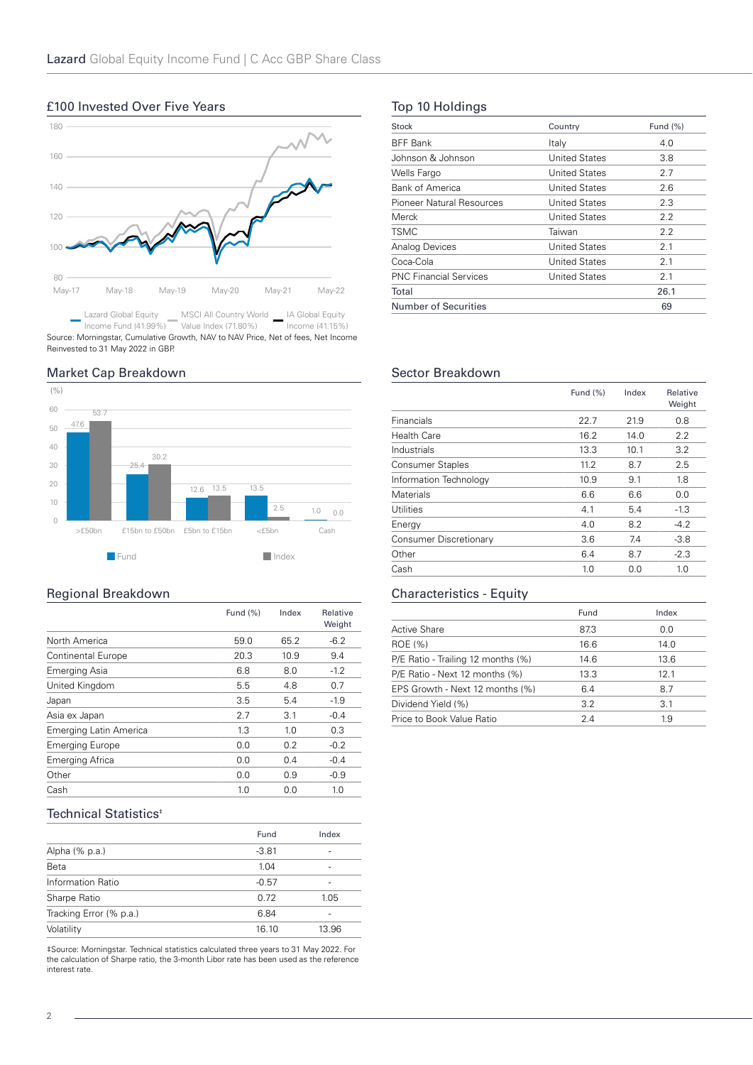# 80 100 120 140 160 180 May-17 May-18 May-19 May-20 May-21 May-22

Lazard Global Equity MSCI All Country World IA Global Equity  $\sim$ Income Fund (41.99%) Value Index (71.80%) Income (41.15%) Source: Morningstar, Cumulative Growth, NAV to NAV Price, Net of fees, Net Income Reinvested to 31 May 2022 in GBP.

# Market Cap Breakdown

£100 Invested Over Five Years



# Regional Breakdown

|                           | Fund (%) | Index | Relative<br>Weight |
|---------------------------|----------|-------|--------------------|
| North America             | 59.0     | 65.2  | $-6.2$             |
| <b>Continental Europe</b> | 20.3     | 10.9  | 9.4                |
| Emerging Asia             | 6.8      | 8.0   | $-1.2$             |
| United Kingdom            | 5.5      | 4.8   | 0.7                |
| Japan                     | 3.5      | 5.4   | $-1.9$             |
| Asia ex Japan             | 2.7      | 3.1   | $-0.4$             |
| Emerging Latin America    | 1.3      | 1.0   | 0.3                |
| <b>Emerging Europe</b>    | 0.0      | 0.2   | $-0.2$             |
| Emerging Africa           | 0.0      | 0.4   | $-0.4$             |
| Other                     | 0.0      | 0.9   | $-0.9$             |
| Cash                      | 1.0      | 0.0   | 1.0                |

# Technical Statistics<sup>®</sup>

|                         | Fund    | Index |
|-------------------------|---------|-------|
| Alpha (% p.a.)          | $-3.81$ | -     |
| Beta                    | 1.04    | -     |
| Information Ratio       | $-0.57$ |       |
| Sharpe Ratio            | 0.72    | 1.05  |
| Tracking Error (% p.a.) | 6.84    | -     |
| Volatility              | 16.10   | 13.96 |

‡Source: Morningstar. Technical statistics calculated three years to 31 May 2022. For the calculation of Sharpe ratio, the 3-month Libor rate has been used as the reference interest rate.

# Top 10 Holdings

| Stock                         | Country              | Fund $(\%)$ |
|-------------------------------|----------------------|-------------|
| <b>BFF Bank</b>               | Italy                | 4.0         |
| Johnson & Johnson             | <b>United States</b> | 3.8         |
| Wells Fargo                   | United States        | 2.7         |
| Bank of America               | United States        | 2.6         |
| Pioneer Natural Resources     | United States        | 2.3         |
| Merck                         | <b>United States</b> | 2.2         |
| <b>TSMC</b>                   | Taiwan               | 2.2         |
| Analog Devices                | United States        | 2.1         |
| Coca-Cola                     | United States        | 2.1         |
| <b>PNC Financial Services</b> | United States        | 2.1         |
| Total                         |                      | 26.1        |
| <b>Number of Securities</b>   |                      | 69          |

# Sector Breakdown

|                         | Fund (%) | Index | Relative<br>Weight |
|-------------------------|----------|-------|--------------------|
| <b>Financials</b>       | 22.7     | 21.9  | 0.8                |
| Health Care             | 16.2     | 14.0  | 2.2                |
| Industrials             | 13.3     | 10.1  | 3.2                |
| <b>Consumer Staples</b> | 11.2     | 8.7   | 2.5                |
| Information Technology  | 10.9     | 9.1   | 1.8                |
| <b>Materials</b>        | 6.6      | 6.6   | 0.0                |
| <b>Utilities</b>        | 4.1      | 5.4   | $-1.3$             |
| Energy                  | 4.0      | 8.2   | $-4.2$             |
| Consumer Discretionary  | 3.6      | 7.4   | $-3.8$             |
| Other                   | 6.4      | 8.7   | $-2.3$             |
| Cash                    | 1.0      | 0.0   | 1.0                |

# Characteristics - Equity

|                                    | Fund | Index |
|------------------------------------|------|-------|
| Active Share                       | 87.3 | 0.0   |
| ROE (%)                            | 16.6 | 14.0  |
| P/E Ratio - Trailing 12 months (%) | 14.6 | 13.6  |
| P/E Ratio - Next 12 months (%)     | 13.3 | 121   |
| EPS Growth - Next 12 months (%)    | 6.4  | 8.7   |
| Dividend Yield (%)                 | 32   | 3.1   |
| Price to Book Value Ratio          | 24   | 1.9   |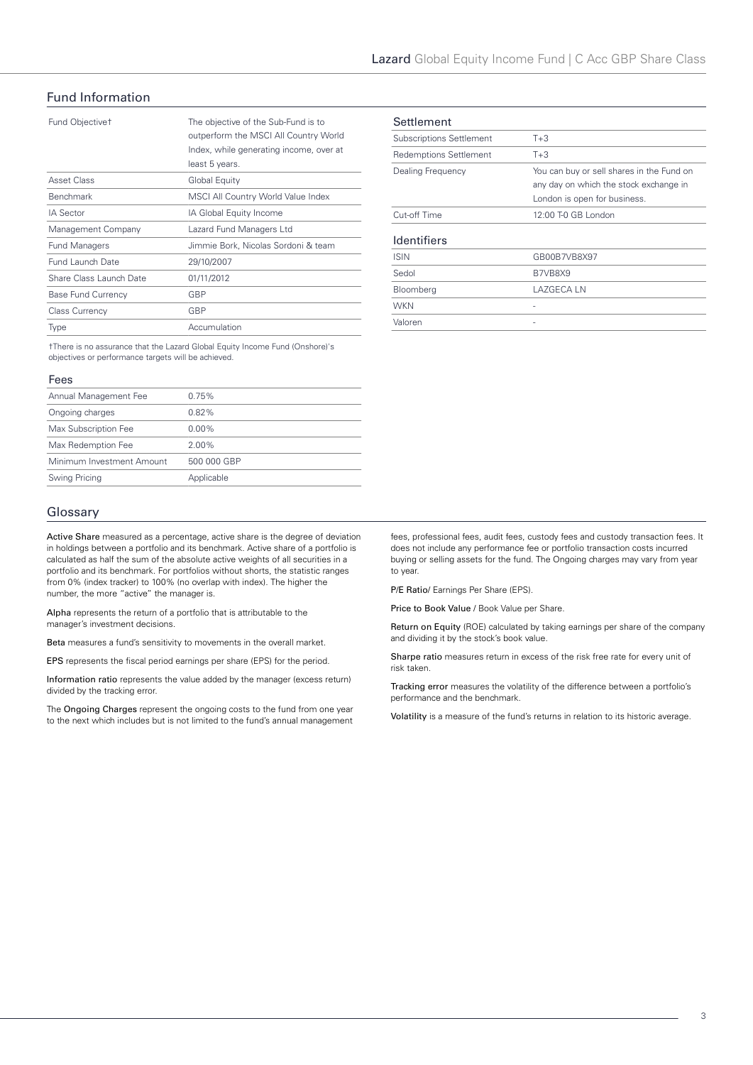# Fund Information

| Fund Objective <sup>+</sup> | The objective of the Sub-Fund is to<br>outperform the MSCI All Country World<br>Index, while generating income, over at<br>least 5 years. |
|-----------------------------|-------------------------------------------------------------------------------------------------------------------------------------------|
| Asset Class                 | Global Equity                                                                                                                             |
| <b>Benchmark</b>            | MSCI All Country World Value Index                                                                                                        |
| <b>IA Sector</b>            | IA Global Equity Income                                                                                                                   |
| Management Company          | Lazard Fund Managers Ltd                                                                                                                  |
| <b>Fund Managers</b>        | Jimmie Bork, Nicolas Sordoni & team                                                                                                       |
| Fund Launch Date            | 29/10/2007                                                                                                                                |
| Share Class Launch Date     | 01/11/2012                                                                                                                                |
| <b>Base Fund Currency</b>   | GBP                                                                                                                                       |
| <b>Class Currency</b>       | GBP                                                                                                                                       |
| Type                        | Accumulation                                                                                                                              |

†There is no assurance that the Lazard Global Equity Income Fund (Onshore)'s objectives or performance targets will be achieved.

#### Fees

| Annual Management Fee     | 0.75%       |
|---------------------------|-------------|
| Ongoing charges           | $0.82\%$    |
| Max Subscription Fee      | $0.00\%$    |
| Max Redemption Fee        | $2.00\%$    |
| Minimum Investment Amount | 500 000 GBP |
| Swing Pricing             | Applicable  |

## Glossary

Active Share measured as a percentage, active share is the degree of deviation in holdings between a portfolio and its benchmark. Active share of a portfolio is calculated as half the sum of the absolute active weights of all securities in a portfolio and its benchmark. For portfolios without shorts, the statistic ranges from 0% (index tracker) to 100% (no overlap with index). The higher the number, the more "active" the manager is.

Alpha represents the return of a portfolio that is attributable to the manager's investment decisions.

Beta measures a fund's sensitivity to movements in the overall market.

EPS represents the fiscal period earnings per share (EPS) for the period.

Information ratio represents the value added by the manager (excess return) divided by the tracking error.

The Ongoing Charges represent the ongoing costs to the fund from one year to the next which includes but is not limited to the fund's annual management

| Settlement                      |                                                                                                                     |
|---------------------------------|---------------------------------------------------------------------------------------------------------------------|
| <b>Subscriptions Settlement</b> | $T + 3$                                                                                                             |
| <b>Redemptions Settlement</b>   | $T+3$                                                                                                               |
| Dealing Frequency               | You can buy or sell shares in the Fund on<br>any day on which the stock exchange in<br>London is open for business. |
| Cut-off Time                    | 12:00 T-0 GB London                                                                                                 |
| <b>Identifiers</b>              |                                                                                                                     |
| <b>ISIN</b>                     | GB00B7VB8X97                                                                                                        |
| Sedol                           | B7VB8X9                                                                                                             |
| Bloomberg                       | LAZGECA LN                                                                                                          |
| <b>WKN</b>                      |                                                                                                                     |
| Valoren                         |                                                                                                                     |

fees, professional fees, audit fees, custody fees and custody transaction fees. It does not include any performance fee or portfolio transaction costs incurred buying or selling assets for the fund. The Ongoing charges may vary from year to year.

P/E Ratio/ Earnings Per Share (EPS).

Price to Book Value / Book Value per Share.

Return on Equity (ROE) calculated by taking earnings per share of the company and dividing it by the stock's book value.

Sharpe ratio measures return in excess of the risk free rate for every unit of risk taken.

Tracking error measures the volatility of the difference between a portfolio's performance and the benchmark.

Volatility is a measure of the fund's returns in relation to its historic average.